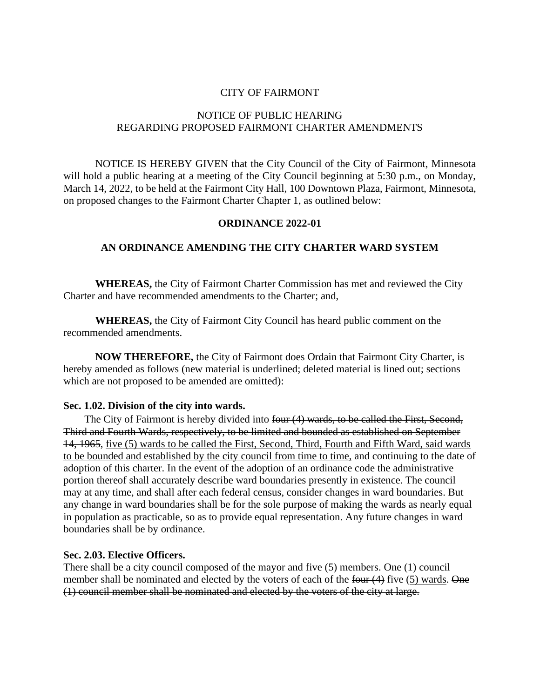# CITY OF FAIRMONT

### NOTICE OF PUBLIC HEARING REGARDING PROPOSED FAIRMONT CHARTER AMENDMENTS

NOTICE IS HEREBY GIVEN that the City Council of the City of Fairmont, Minnesota will hold a public hearing at a meeting of the City Council beginning at 5:30 p.m., on Monday, March 14, 2022, to be held at the Fairmont City Hall, 100 Downtown Plaza, Fairmont, Minnesota, on proposed changes to the Fairmont Charter Chapter 1, as outlined below:

### **ORDINANCE 2022-01**

# **AN ORDINANCE AMENDING THE CITY CHARTER WARD SYSTEM**

**WHEREAS,** the City of Fairmont Charter Commission has met and reviewed the City Charter and have recommended amendments to the Charter; and,

**WHEREAS,** the City of Fairmont City Council has heard public comment on the recommended amendments.

**NOW THEREFORE,** the City of Fairmont does Ordain that Fairmont City Charter, is hereby amended as follows (new material is underlined; deleted material is lined out; sections which are not proposed to be amended are omitted):

#### **Sec. 1.02. Division of the city into wards.**

The City of Fairmont is hereby divided into four (4) wards, to be called the First, Second, Third and Fourth Wards, respectively, to be limited and bounded as established on September 14, 1965, five (5) wards to be called the First, Second, Third, Fourth and Fifth Ward, said wards to be bounded and established by the city council from time to time, and continuing to the date of adoption of this charter. In the event of the adoption of an ordinance code the administrative portion thereof shall accurately describe ward boundaries presently in existence. The council may at any time, and shall after each federal census, consider changes in ward boundaries. But any change in ward boundaries shall be for the sole purpose of making the wards as nearly equal in population as practicable, so as to provide equal representation. Any future changes in ward boundaries shall be by ordinance.

## **Sec. 2.03. Elective Officers.**

There shall be a city council composed of the mayor and five (5) members. One (1) council member shall be nominated and elected by the voters of each of the four (4) five (5) wards. One (1) council member shall be nominated and elected by the voters of the city at large.